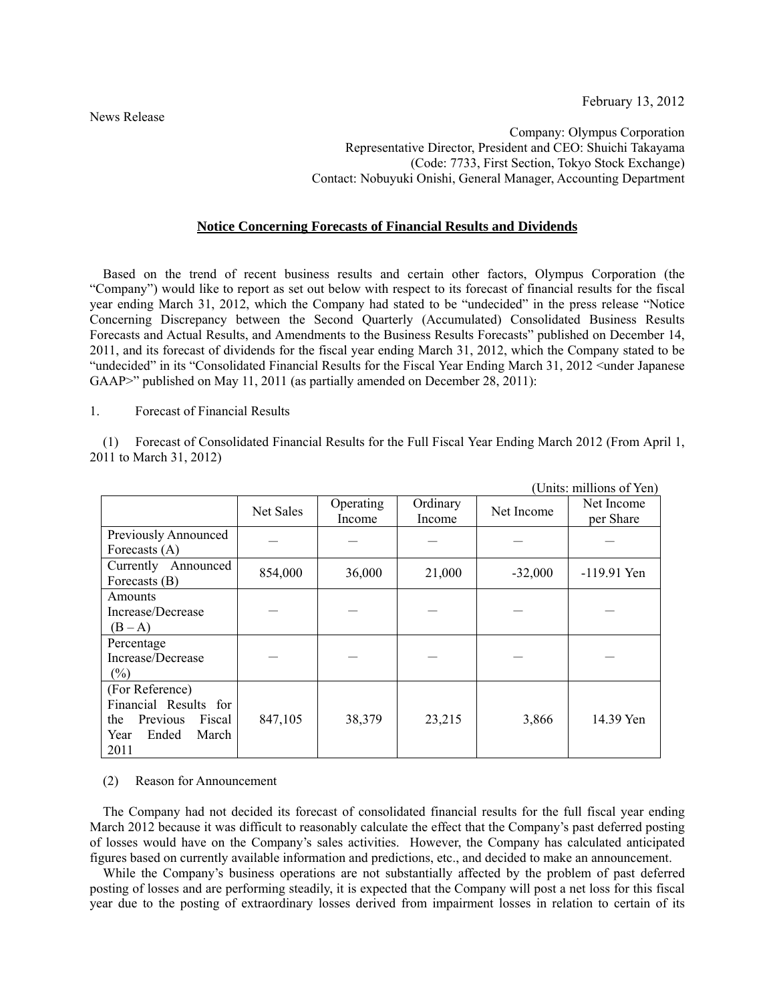Company: Olympus Corporation Representative Director, President and CEO: Shuichi Takayama (Code: 7733, First Section, Tokyo Stock Exchange) Contact: Nobuyuki Onishi, General Manager, Accounting Department

## **Notice Concerning Forecasts of Financial Results and Dividends**

Based on the trend of recent business results and certain other factors, Olympus Corporation (the "Company") would like to report as set out below with respect to its forecast of financial results for the fiscal year ending March 31, 2012, which the Company had stated to be "undecided" in the press release "Notice Concerning Discrepancy between the Second Quarterly (Accumulated) Consolidated Business Results Forecasts and Actual Results, and Amendments to the Business Results Forecasts" published on December 14, 2011, and its forecast of dividends for the fiscal year ending March 31, 2012, which the Company stated to be "undecided" in its "Consolidated Financial Results for the Fiscal Year Ending March 31, 2012 <under Japanese GAAP>" published on May 11, 2011 (as partially amended on December 28, 2011):

1. Forecast of Financial Results

(1) Forecast of Consolidated Financial Results for the Full Fiscal Year Ending March 2012 (From April 1, 2011 to March 31, 2012)

|                                                                                                         | (UNIUS. MINIONS OL YEN) |                     |                    |            |                         |
|---------------------------------------------------------------------------------------------------------|-------------------------|---------------------|--------------------|------------|-------------------------|
|                                                                                                         | Net Sales               | Operating<br>Income | Ordinary<br>Income | Net Income | Net Income<br>per Share |
| Previously Announced<br>Forecasts $(A)$                                                                 |                         |                     |                    |            |                         |
| Currently Announced<br>Forecasts (B)                                                                    | 854,000                 | 36,000              | 21,000             | $-32,000$  | -119.91 Yen             |
| Amounts<br>Increase/Decrease<br>$(B-A)$                                                                 |                         |                     |                    |            |                         |
| Percentage<br>Increase/Decrease<br>$(\% )$                                                              |                         |                     |                    |            |                         |
| (For Reference)<br>Financial Results for<br>Previous<br>the<br>Fiscal<br>Ended<br>March<br>Year<br>2011 | 847,105                 | 38,379              | 23,215             | 3,866      | 14.39 Yen               |

 $(Unita: millions of Van)$ 

## (2) Reason for Announcement

The Company had not decided its forecast of consolidated financial results for the full fiscal year ending March 2012 because it was difficult to reasonably calculate the effect that the Company's past deferred posting of losses would have on the Company's sales activities. However, the Company has calculated anticipated figures based on currently available information and predictions, etc., and decided to make an announcement.

While the Company's business operations are not substantially affected by the problem of past deferred posting of losses and are performing steadily, it is expected that the Company will post a net loss for this fiscal year due to the posting of extraordinary losses derived from impairment losses in relation to certain of its